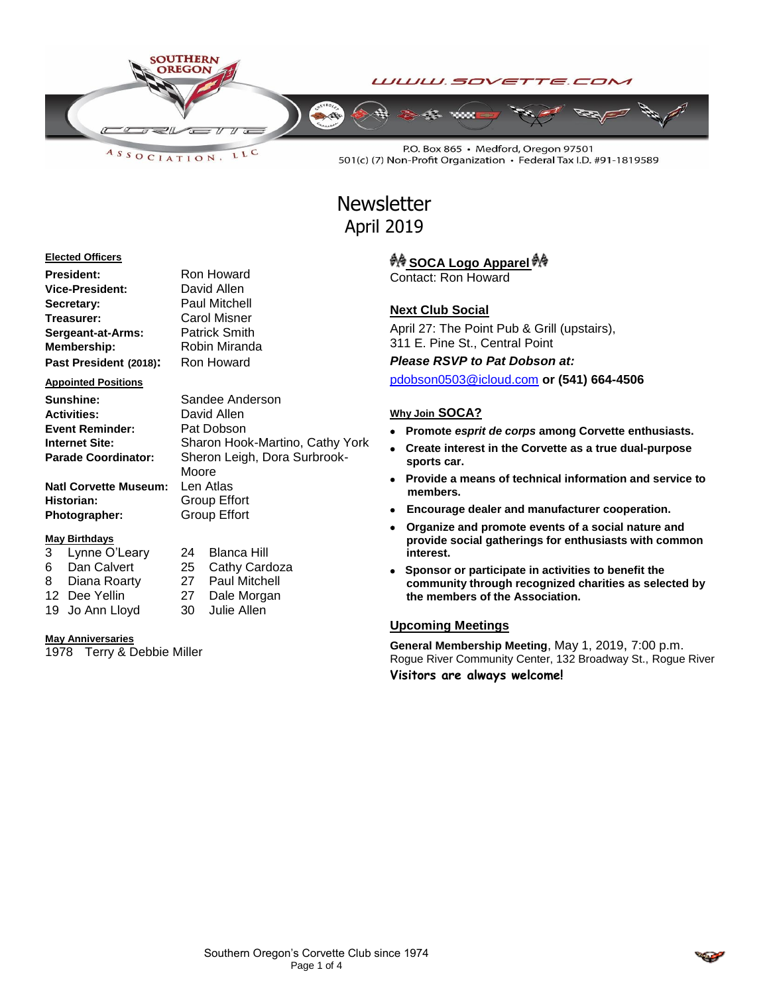

LLC ASSOCIATION.

P.O. Box 865 · Medford, Oregon 97501 501(c) (7) Non-Profit Organization · Federal Tax I.D. #91-1819589

# **Newsletter** April 2019

#### **Elected Officers**

| President:             | Ron Howard           |
|------------------------|----------------------|
| <b>Vice-President:</b> | David Allen          |
| Secretary:             | <b>Paul Mitchell</b> |
| Treasurer:             | Carol Misner         |
| Sergeant-at-Arms:      | <b>Patrick Smith</b> |
| Membership:            | Robin Miranda        |
| Past President (2018): | Ron Howard           |

#### **Appointed Positions**

| Sandee Anderson              |
|------------------------------|
| David Allen                  |
| Pat Dobson                   |
| Sharon Hook-Martino, Cathy Y |
| Sheron Leigh, Dora Surbrook- |
|                              |

**Natl Corvette Museum:** Len Atlas **Historian:** Group Effort **Photographer:** Group Effort

#### **May Birthdays**

| 3 | Lynne O'Leary |
|---|---------------|
| 6 | Dan Calvert   |
| 8 | Diana Roarty  |

24 Blanca Hill 25 Cathy Cardoza 27 Paul Mitchell 12 Dee Yellin 27 Dale Morgan 19 Jo Ann Lloyd 30 Julie Allen

Moore

**Sharon Hook-Martino, Cathy York** 

#### **May Anniversaries**

1978 Terry & Debbie Miller

# <sup>40</sup> SOCA Logo Apparel <sup>40</sup>

Contact: Ron Howard

### **Next Club Social**

April 27: The Point Pub & Grill (upstairs), 311 E. Pine St., Central Point

*Please RSVP to Pat Dobson at:*

[pdobson0503@icloud.com](mailto:pdobson0503@icloud.com) **or (541) 664-4506**

#### **Why Join SOCA?**

- **Promote** *esprit de corps* **among Corvette enthusiasts.**
- **Create interest in the Corvette as a true dual-purpose sports car.**
- **Provide a means of technical information and service to members.**
- **Encourage dealer and manufacturer cooperation.**
- **Organize and promote events of a social nature and provide social gatherings for enthusiasts with common interest.**
- **Sponsor or participate in activities to benefit the community through recognized charities as selected by the members of the Association.**

#### **Upcoming Meetings**

**General Membership Meeting**, May 1, 2019, 7:00 p.m. Rogue River Community Center, 132 Broadway St., Rogue River **Visitors are always welcome!**

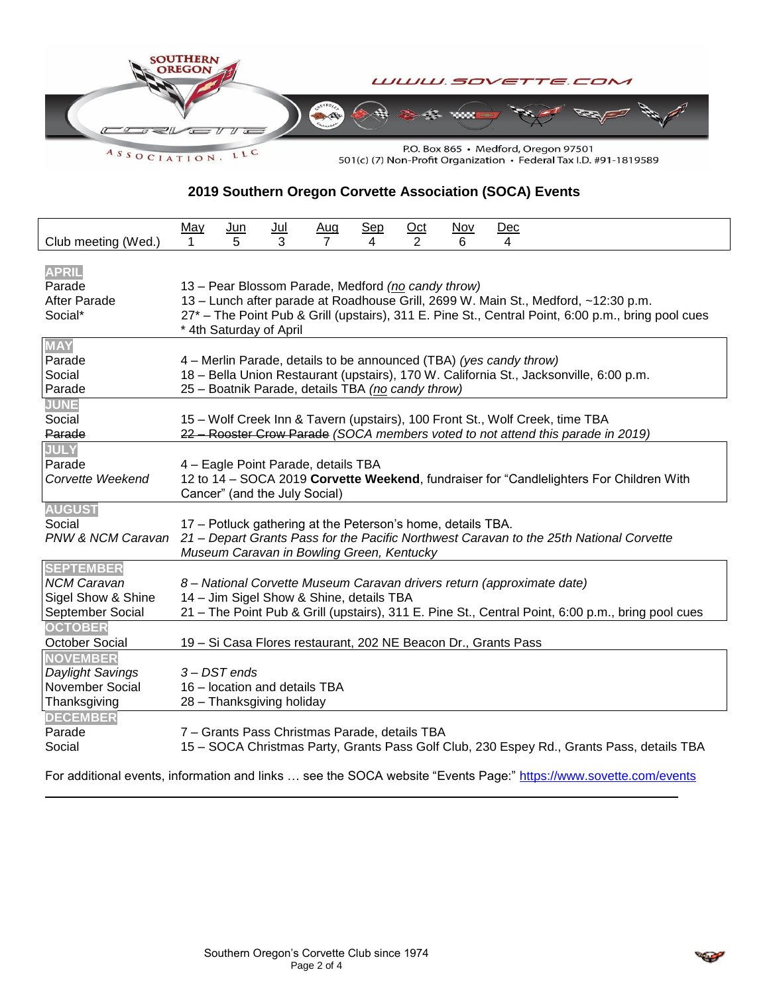

**2019 Southern Oregon Corvette Association (SOCA) Events**

| Club meeting (Wed.)                                                                                | <u>May</u><br>1                                                                                                                                                                                                                                                           | <u>Jun</u><br>5                                                          | $Jul$<br>3 | Aug<br>$\overline{7}$ | $Sep$<br>4 | Oct<br>2 | <u>Nov</u><br>6 | Dec<br>4 |  |  |
|----------------------------------------------------------------------------------------------------|---------------------------------------------------------------------------------------------------------------------------------------------------------------------------------------------------------------------------------------------------------------------------|--------------------------------------------------------------------------|------------|-----------------------|------------|----------|-----------------|----------|--|--|
| <b>APRIL</b><br>Parade<br>After Parade<br>Social*                                                  | 13 - Pear Blossom Parade, Medford (no candy throw)<br>13 - Lunch after parade at Roadhouse Grill, 2699 W. Main St., Medford, ~12:30 p.m.<br>27* - The Point Pub & Grill (upstairs), 311 E. Pine St., Central Point, 6:00 p.m., bring pool cues<br>* 4th Saturday of April |                                                                          |            |                       |            |          |                 |          |  |  |
| <b>MAY</b><br>Parade<br>Social<br>Parade                                                           | 4 – Merlin Parade, details to be announced (TBA) (yes candy throw)<br>18 - Bella Union Restaurant (upstairs), 170 W. California St., Jacksonville, 6:00 p.m.<br>25 - Boatnik Parade, details TBA (no candy throw)                                                         |                                                                          |            |                       |            |          |                 |          |  |  |
| <b>JUNE</b><br>Social<br>Parade                                                                    | 15 - Wolf Creek Inn & Tavern (upstairs), 100 Front St., Wolf Creek, time TBA<br>22 Rooster Crow Parade (SOCA members voted to not attend this parade in 2019)                                                                                                             |                                                                          |            |                       |            |          |                 |          |  |  |
| <b>JULY</b><br>Parade<br>Corvette Weekend                                                          | 4 - Eagle Point Parade, details TBA<br>12 to 14 - SOCA 2019 Corvette Weekend, fundraiser for "Candlelighters For Children With<br>Cancer" (and the July Social)                                                                                                           |                                                                          |            |                       |            |          |                 |          |  |  |
| <b>AUGUST</b><br>Social                                                                            | 17 - Potluck gathering at the Peterson's home, details TBA.<br>PNW & NCM Caravan 21 - Depart Grants Pass for the Pacific Northwest Caravan to the 25th National Corvette<br>Museum Caravan in Bowling Green, Kentucky                                                     |                                                                          |            |                       |            |          |                 |          |  |  |
| <b>SEPTEMBER</b><br><b>NCM Caravan</b><br>Sigel Show & Shine<br>September Social<br><b>OCTOBER</b> | 8 – National Corvette Museum Caravan drivers return (approximate date)<br>14 - Jim Sigel Show & Shine, details TBA<br>21 – The Point Pub & Grill (upstairs), 311 E. Pine St., Central Point, 6:00 p.m., bring pool cues                                                   |                                                                          |            |                       |            |          |                 |          |  |  |
| October Social<br><b>NOVEMBER</b>                                                                  | 19 - Si Casa Flores restaurant, 202 NE Beacon Dr., Grants Pass                                                                                                                                                                                                            |                                                                          |            |                       |            |          |                 |          |  |  |
| Daylight Savings<br>November Social<br>Thanksgiving                                                |                                                                                                                                                                                                                                                                           | 3-DST ends<br>16 - location and details TBA<br>28 - Thanksgiving holiday |            |                       |            |          |                 |          |  |  |
| <b>DECEMBER</b><br>Parade<br>Social                                                                | 7 - Grants Pass Christmas Parade, details TBA<br>15 - SOCA Christmas Party, Grants Pass Golf Club, 230 Espey Rd., Grants Pass, details TBA                                                                                                                                |                                                                          |            |                       |            |          |                 |          |  |  |

For additional events, information and links ... see the SOCA website "Events Page:"<https://www.sovette.com/events>

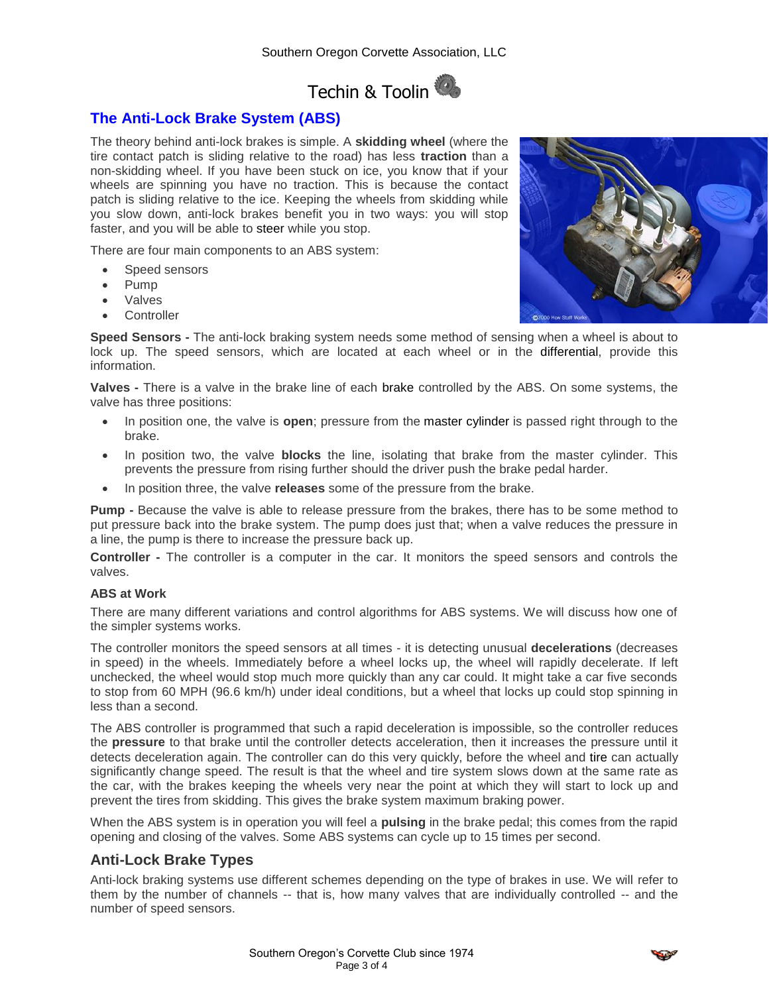# Techin & Toolin

# **The Anti-Lock Brake System (ABS)**

The theory behind anti-lock brakes is simple. A **skidding wheel** (where the tire contact patch is sliding relative to the road) has less **traction** than a non-skidding wheel. If you have been stuck on ice, you know that if your wheels are spinning you have no traction. This is because the contact patch is sliding relative to the ice. Keeping the wheels from skidding while you slow down, anti-lock brakes benefit you in two ways: you will stop faster, and you will be able to [steer](http://auto.howstuffworks.com/steering.htm) while you stop.

There are four main components to an ABS system:

- Speed sensors
- Pump
- Valves
- **Controller**

**Speed Sensors -** The anti-lock braking system needs some method of sensing when a wheel is about to lock up. The speed sensors, which are located at each wheel or in the [differential,](http://auto.howstuffworks.com/differential.htm) provide this information.

**Valves -** There is a valve in the brake line of each [brake](http://auto.howstuffworks.com/auto-parts/brakes/brake-types/brake.htm) controlled by the ABS. On some systems, the valve has three positions:

- In position one, the valve is **open**; pressure from the [master cylinder](http://auto.howstuffworks.com/auto-parts/brakes/brake-types/master-brake.htm) is passed right through to the brake.
- In position two, the valve **blocks** the line, isolating that brake from the master cylinder. This prevents the pressure from rising further should the driver push the brake pedal harder.
- In position three, the valve **releases** some of the pressure from the brake.

**Pump -** Because the valve is able to release pressure from the brakes, there has to be some method to put pressure back into the brake system. The pump does just that; when a valve reduces the pressure in a line, the pump is there to increase the pressure back up.

**Controller -** The controller is a computer in the car. It monitors the speed sensors and controls the valves.

#### **ABS at Work**

There are many different variations and control algorithms for ABS systems. We will discuss how one of the simpler systems works.

The controller monitors the speed sensors at all times - it is detecting unusual **decelerations** (decreases in speed) in the wheels. Immediately before a wheel locks up, the wheel will rapidly decelerate. If left unchecked, the wheel would stop much more quickly than any car could. It might take a car five seconds to stop from 60 MPH (96.6 km/h) under ideal conditions, but a wheel that locks up could stop spinning in less than a second.

The ABS controller is programmed that such a rapid deceleration is impossible, so the controller reduces the **pressure** to that brake until the controller detects acceleration, then it increases the pressure until it detects deceleration again. The controller can do this very quickly, before the wheel and [tire](http://auto.howstuffworks.com/tire.htm) can actually significantly change speed. The result is that the wheel and tire system slows down at the same rate as the car, with the brakes keeping the wheels very near the point at which they will start to lock up and prevent the tires from skidding. This gives the brake system maximum braking power.

When the ABS system is in operation you will feel a **pulsing** in the brake pedal; this comes from the rapid opening and closing of the valves. Some ABS systems can cycle up to 15 times per second.

## **Anti-Lock Brake Types**

Anti-lock braking systems use different schemes depending on the type of brakes in use. We will refer to them by the number of channels -- that is, how many valves that are individually controlled -- and the number of speed sensors.